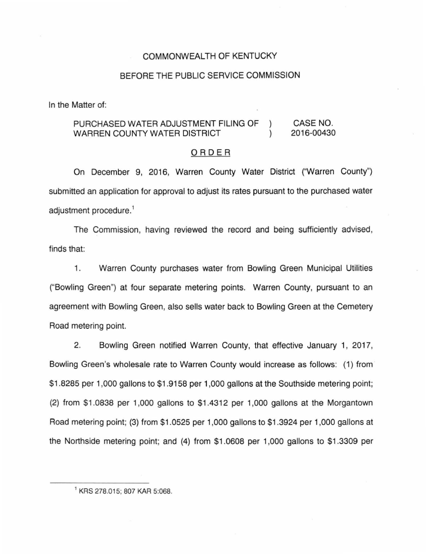# COMMONWEALTH OF KENTUCKY

# BEFORE THE PUBLIC SERVICE COMMISSION

In the Matter of:

#### CASE NO. PURCHASED WATER ADJUSTMENT FILING OF  $\mathcal{L}$ WARREN COUNTY WATER DISTRICT 2016-00430  $\lambda$

#### ORDER

On December 9, 2016, Warren County Water District ("Warren County") submitted an application for approval to adjust its rates pursuant to the purchased water adjustment procedure.<sup>1</sup>

The Commission, having reviewed the record and being sufficiently advised, finds that:

1. Warren County purchases water from Bowling Green Municipal Utilities ("Bowling Green") at four separate metering points. Warren County, pursuant to an agreement with Bowling Green, also sells water back to Bowling Green at the Cemetery Road metering point.

2. Bowling Green notified Warren County, that effective January 1, 2017, Bowling Green's wholesale rate to Warren County would increase as follows: (1) from \$1 .8285 per 1 ,000 gallons to \$1 .9158 per 1,000 gallons at the Southside metering point; (2) from \$1.0838 per 1 ,000 gallons to \$1.4312 per 1,000 gallons at the Morgantown Road metering point; (3) from \$1.0525 per 1,000 gallons to \$1.3924 per 1 ,000 gallons at the Northside metering point; and (4) from \$1 .0608 per 1,000 gallons to \$1.3309 per

<sup>1</sup>KRS 278.015; 807 KAR 5:068.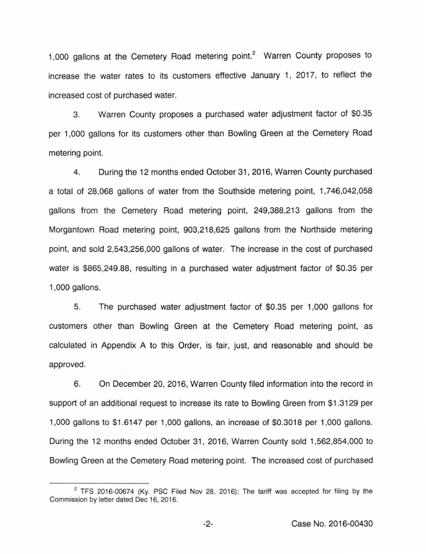1,000 gallons at the Cemetery Road metering point.<sup>2</sup> Warren County proposes to increase the water rates to its customers effective January 1, 2017, to reflect the increased cost of purchased water.

3. Warren County proposes a purchased water adjustment factor of \$0.35 per 1,000 gallons for its customers other than Bowling Green at the Cemetery Road metering point.

4. During the 12 months ended October 31 , 2016, Warren County purchased a total of 28,068 gallons of water from the Southside metering point, 1,746,042,058 gallons from the Cemetery Road metering point, 249,388,213 gallons from the Morgantown Road metering point, 903,218,625 gallons from the Northside metering point, and sold 2,543,256,000 gallons of water. The increase in the cost of purchased water is \$865,249.88, resulting in a purchased water adjustment factor of \$0.35 per 1,000 gallons.

5. The purchased water adjustment factor of \$0.35 per 1 ,000 gallons for customers other than Bowling Green at the Cemetery Road metering point, as calculated in Appendix A to this Order, is fair, just, and reasonable and should be approved.

6. On December 20, 2016, Warren County filed information into the record in support of an additional request to increase its rate to Bowling Green from \$1 .3129 per 1,000 gallons to \$1 .6147 per 1 ,000 gallons, an increase of \$0.3018 per 1,000 gallons. During the 12 months ended October 31 , 2016, Warren County sold 1 ,562,854,000 to Bowling Green at the Cemetery Road metering point. The increased cost of purchased

 $2$  TFS 2016-00674 (Ky. PSC Filed Nov 28, 2016); The tariff was accepted for filing by the Commission by letter dated Dec 16, 2016.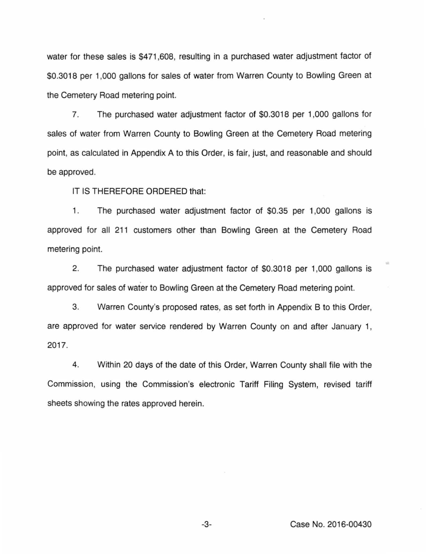water for these sales is \$471 ,608, resulting in a purchased water adjustment factor of \$0.3018 per 1,000 gallons for sales of water from Warren County to Bowling Green at the Cemetery Road metering point.

7. The purchased water adjustment factor of \$0.3018 per 1,000 gallons for sales of water from Warren County to Bowling Green at the Cemetery Road metering point, as calculated in Appendix A to this Order, is fair, just, and reasonable and should be approved.

IT IS THEREFORE ORDERED that:

1. The purchased water adjustment factor of \$0.35 per 1,000 gallons is approved for all 211 customers other than Bowling Green at the Cemetery Road metering point.

2. The purchased water adjustment factor of \$0.3018 per 1,000 gallons is approved for sales of water to Bowling Green at the Cemetery Road metering point.

3. Warren County's proposed rates, as set forth in Appendix B to this Order, are approved for water service rendered by Warren County on and after January 1, 2017.

4. Within 20 days of the date of this Order, Warren County shall file with the Commission, using the Commission's electronic Tariff Filing System, revised tariff sheets showing the rates approved herein.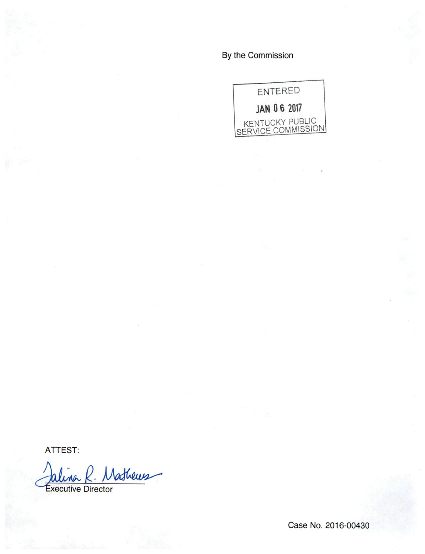By the Commission



ATTEST:

Mathews Jalina K. **Executive Director** 

Case No. 2016-00430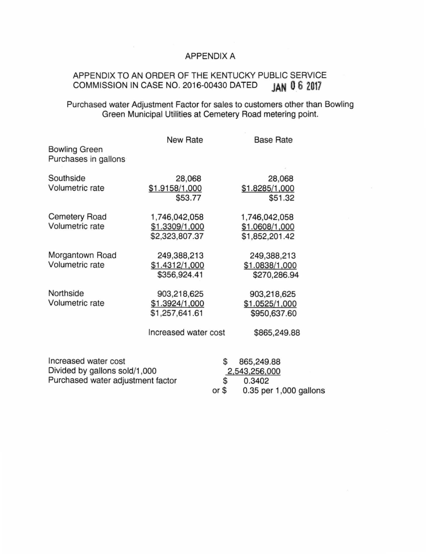# APPENDIX A

# APPENDIX TO AN ORDER OF THE KENTUCKY PUBLIC SERVICE<br>COMMISSION IN CASE NO. 2016-00430 DATED JAN 06 2017 COMMISSION IN CASE NO. 2016-00430 DATED **JAN 0 6 2017**

# Purchased water Adjustment Factor for sales to customers other than Bowling Green Municipal Utilities at Cemetery Road metering point.

|                                                                                            | <b>New Rate</b>                                                         |                 | <b>Base Rate</b>                                                |
|--------------------------------------------------------------------------------------------|-------------------------------------------------------------------------|-----------------|-----------------------------------------------------------------|
| <b>Bowling Green</b><br>Purchases in gallons                                               |                                                                         |                 |                                                                 |
| Southside<br>Volumetric rate                                                               | 28,068<br>\$1.9158/1,000<br>\$53.77                                     |                 | 28,068<br>\$1.8285/1,000<br>\$51.32                             |
| <b>Cemetery Road</b><br>Volumetric rate                                                    | 1,746,042,058<br>\$1.3309/1,000<br>\$2,323,807.37                       |                 | 1,746,042,058<br>\$1.0608/1,000<br>\$1,852,201.42               |
| Morgantown Road<br>Volumetric rate                                                         | 249,388,213<br>\$1.4312/1,000<br>\$356,924.41                           |                 | 249,388,213<br>\$1.0838/1,000<br>\$270,286.94                   |
| Northside<br>Volumetric rate                                                               | 903,218,625<br>\$1.3924/1,000<br>\$1,257,641.61<br>Increased water cost |                 | 903,218,625<br>\$1.0525/1,000<br>\$950,637.60<br>\$865,249.88   |
| Increased water cost<br>Divided by gallons sold/1,000<br>Purchased water adjustment factor |                                                                         | S<br>S<br>or \$ | 865,249.88<br>2,543,256,000<br>0.3402<br>0.35 per 1,000 gallons |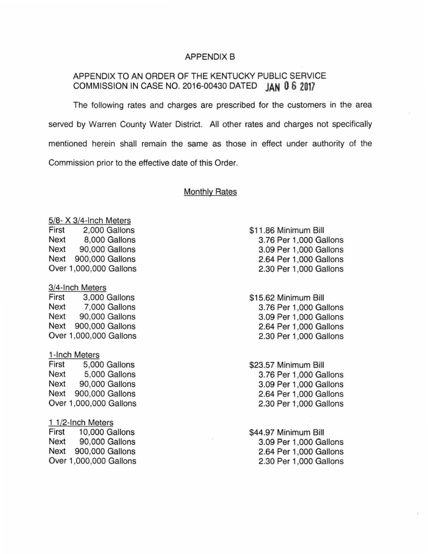#### APPENDIX B

# APPENDIX TO AN ORDER OF THE KENTUCKY PUBLIC SERVICE COMMISSION IN CASE NO. 2016-00430 DATED **JAN 0 6 2017**

The following rates and charges are prescribed for the customers in the area served by Warren County Water District. All other rates and charges not specifically mentioned herein shall remain the same as those in effect under authority of the Commission prior to the effective date of this Order.

# Monthly Rates

5/8- X 3/4-lnch Meters First 2,000 Gallons Next 8,000 Gallons Next 90,000 Gallons Next 900,000 Gallons Over 1,000,000 Gallons

3/4-lnch Meters

First 3,000 Gallons Next 7,000 Gallons Next 90,000 Gallons Next 900,000 Gallons Over 1,000,000 Gallons

#### 1-lnch Meters

First 5,000 Gallons Next 5,000 Gallons Next 90,000 Gallons Next 900,000 Gallons Over 1,000,000 Gallons

#### 1 1/2-lnch Meters

First 10,000 Gallons Next 90,000 Gallons Next 900,000 Gallons Over 1,000,000 Gallons \$11.86 Minimum Bill 3. 76 Per 1 ,000 Gallons 3.09 Per 1,000 Gallons 2.64 Per 1,000 Gallons 2.30 Per 1 ,000 Gallons

\$15.62 Minimum Bill 3. 76 Per 1 ,000 Gallons 3.09 Per 1 ,000 Gallons 2.64 Per 1 ,000 Gallons 2.30 Per 1 ,000 Gallons

\$23.57 Minimum Bill 3.76 Per 1,000 Gallons 3.09 Per 1,000 Gallons 2.64 Per 1,000 Gallons 2.30 Per 1 ,000 Gallons

\$44.97 Minimum Bill 3.09 Per 1,000 Gallons 2.64 Per 1 ,000 Gallons 2.30 Per 1,000 Gallons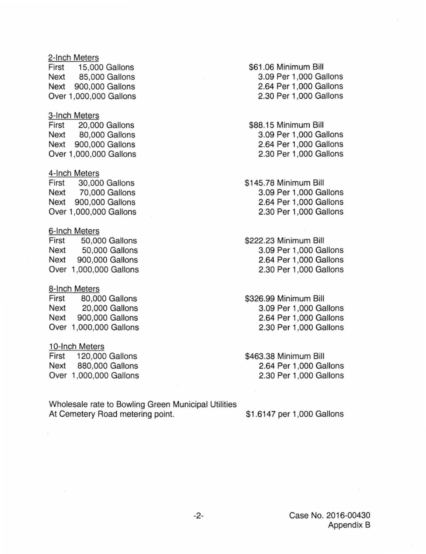#### 2-lnch Meters

First 15,000 Gallons Next 85,000 Gallons Next 900,000 Gallons Over 1,000,000 Gallons

#### 3-lnch Meters

First 20,000 Gallons Next 80,000 Gallons Next 900,000 Gallons Over 1,000,000 Gallons

# 4-lnch Meters

First 30,000 Gallons Next 70,000 Gallons Next 900,000 Gallons Over 1 ,000,000 Gallons

## 6-lnch Meters

First 50,000 Gallons Next 50,000 Gallons Next 900,000 Gallons Over 1 ,000,000 Gallons

## 8-lnch Meters

First 80,000 Gallons Next 20,000 Gallons Next 900,000 Gallons Over 1,000,000 Gallons

## 10-Inch Meters

First 120,000 Gallons Next 880,000 Gallons Over 1,000,000 Gallons

Wholesale rate to Bowling Green Municipal Utilities At Cemetery Road metering point.

\$61 .06 Minimum Bill 3.09 Per 1,000 Gallons 2.64 Per 1 ,000 Gallons 2.30 Per 1 ,000 Gallons

\$88.15 Minimum Bill 3.09 Per 1,000 Gallons 2.64 Per 1 ,000 Gallons 2.30 Per 1 ,000 Gallons

\$145.78 Minimum Bill 3.09 Per 1,000 Gallons 2.64 Per 1,000 Gallons 2.30 Per 1 ,000 Gallons

\$222.23 Minimum Bill 3.09 Per 1,000 Gallons 2.64 Per 1 ,000 Gallons 2.30 Per 1 ,000 Gallons

\$326.99 Minimum Bill 3.09 Per 1,000 Gallons 2.64 Per 1,000 Gallons 2.30 Per 1,000 Gallons

\$463.38 Minimum Bill 2.64 Per 1 ,000 Gallons 2.30 Per 1 ,000 Gallons

\$1.6147 per 1,000 Gallons